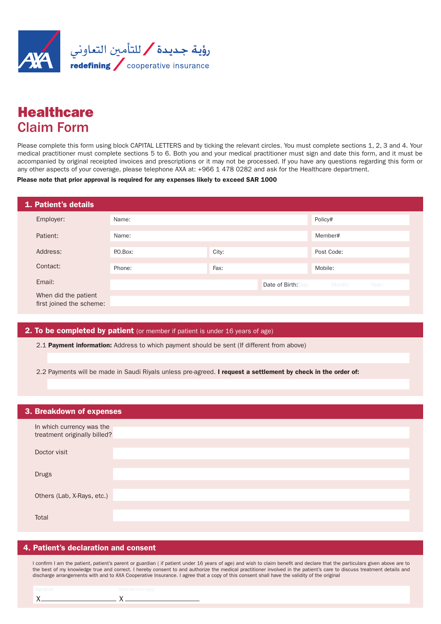

## **Healthcare** Claim Form

Please complete this form using block CAPITAL LETTERS and by ticking the relevant circles. You must complete sections 1, 2, 3 and 4. Your medical practitioner must complete sections 5 to 6. Both you and your medical practitioner must sign and date this form, and it must be accompanied by original receipted invoices and prescriptions or it may not be processed. If you have any questions regarding this form or any other aspects of your coverage, please telephone AXA at: +966 1 478 0282 and ask for the Healthcare department.

Please note that prior approval is required for any expenses likely to exceed SAR 1000

| 1. Patient's details                             |         |       |                    |            |       |
|--------------------------------------------------|---------|-------|--------------------|------------|-------|
| Employer:                                        | Name:   |       |                    | Policy#    |       |
| Patient:                                         | Name:   |       |                    | Member#    |       |
| Address:                                         | PO.Box: | City: |                    | Post Code: |       |
| Contact:                                         | Phone:  | Fax:  |                    | Mobile:    |       |
| Email:                                           |         |       | Date of Birth:Day: | Month:     | Year: |
| When did the patient<br>first joined the scheme: |         |       |                    |            |       |

## **2. To be completed by patient** (or member if patient is under 16 years of age)

2.1 Payment information: Address to which payment should be sent (If different from above)

2.2 Payments will be made in Saudi Riyals unless pre-agreed. I request a settlement by check in the order of:

| 3. Breakdown of expenses                                  |  |
|-----------------------------------------------------------|--|
| In which currency was the<br>treatment originally billed? |  |
| Doctor visit                                              |  |
| <b>Drugs</b>                                              |  |
| Others (Lab, X-Rays, etc.)                                |  |
| Total                                                     |  |

## 4. Patient's declaration and consent

I confirm I am the patient, patient's parent or guardian (if patient under 16 years of age) and wish to claim benefit and declare that the particulars given above are to the best of my knowledge true and correct. I hereby consent to and authorize the medical practitioner involved in the patient's care to discuss treatment details and discharge arrangements with and to AXA Cooperative Insurance. I agree that a copy of this consent shall have the validity of the original

| Signature | Charles Label Longue Line<br>Date(dd/mml/yyyy) |
|-----------|------------------------------------------------|
|           |                                                |